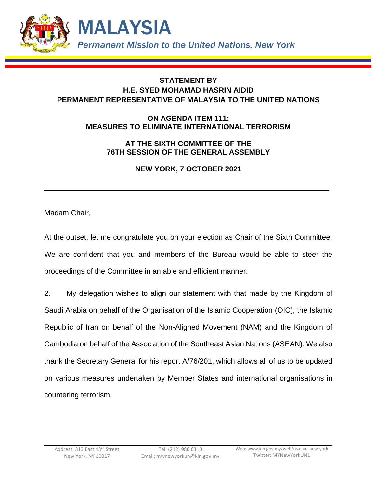

## **STATEMENT BY H.E. SYED MOHAMAD HASRIN AIDID PERMANENT REPRESENTATIVE OF MALAYSIA TO THE UNITED NATIONS**

## **ON AGENDA ITEM 111: MEASURES TO ELIMINATE INTERNATIONAL TERRORISM**

## **AT THE SIXTH COMMITTEE OF THE 76TH SESSION OF THE GENERAL ASSEMBLY**

**NEW YORK, 7 OCTOBER 2021**

Madam Chair,

At the outset, let me congratulate you on your election as Chair of the Sixth Committee. We are confident that you and members of the Bureau would be able to steer the proceedings of the Committee in an able and efficient manner.

2. My delegation wishes to align our statement with that made by the Kingdom of Saudi Arabia on behalf of the Organisation of the Islamic Cooperation (OIC), the Islamic Republic of Iran on behalf of the Non-Aligned Movement (NAM) and the Kingdom of Cambodia on behalf of the Association of the Southeast Asian Nations (ASEAN). We also thank the Secretary General for his report A/76/201, which allows all of us to be updated on various measures undertaken by Member States and international organisations in countering terrorism.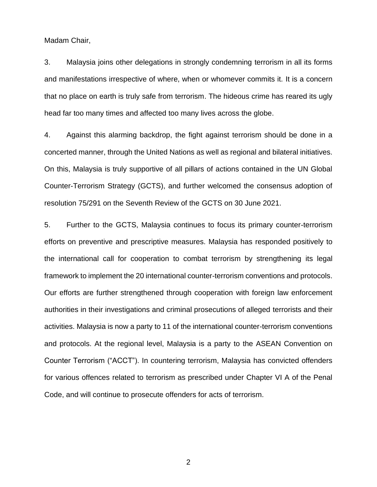Madam Chair,

3. Malaysia joins other delegations in strongly condemning terrorism in all its forms and manifestations irrespective of where, when or whomever commits it. It is a concern that no place on earth is truly safe from terrorism. The hideous crime has reared its ugly head far too many times and affected too many lives across the globe.

4. Against this alarming backdrop, the fight against terrorism should be done in a concerted manner, through the United Nations as well as regional and bilateral initiatives. On this, Malaysia is truly supportive of all pillars of actions contained in the UN Global Counter-Terrorism Strategy (GCTS), and further welcomed the consensus adoption of resolution 75/291 on the Seventh Review of the GCTS on 30 June 2021.

5. Further to the GCTS, Malaysia continues to focus its primary counter-terrorism efforts on preventive and prescriptive measures. Malaysia has responded positively to the international call for cooperation to combat terrorism by strengthening its legal framework to implement the 20 international counter-terrorism conventions and protocols. Our efforts are further strengthened through cooperation with foreign law enforcement authorities in their investigations and criminal prosecutions of alleged terrorists and their activities. Malaysia is now a party to 11 of the international counter-terrorism conventions and protocols. At the regional level, Malaysia is a party to the ASEAN Convention on Counter Terrorism ("ACCT"). In countering terrorism, Malaysia has convicted offenders for various offences related to terrorism as prescribed under Chapter VI A of the Penal Code, and will continue to prosecute offenders for acts of terrorism.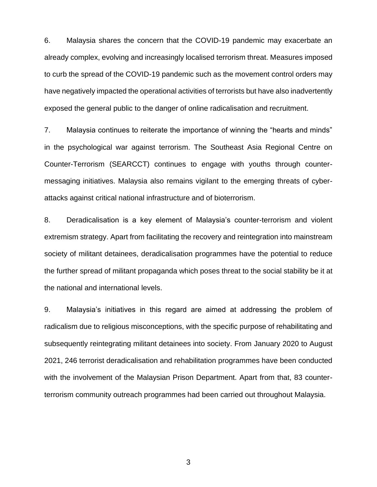6. Malaysia shares the concern that the COVID-19 pandemic may exacerbate an already complex, evolving and increasingly localised terrorism threat. Measures imposed to curb the spread of the COVID-19 pandemic such as the movement control orders may have negatively impacted the operational activities of terrorists but have also inadvertently exposed the general public to the danger of online radicalisation and recruitment.

7. Malaysia continues to reiterate the importance of winning the "hearts and minds" in the psychological war against terrorism. The Southeast Asia Regional Centre on Counter-Terrorism (SEARCCT) continues to engage with youths through countermessaging initiatives. Malaysia also remains vigilant to the emerging threats of cyberattacks against critical national infrastructure and of bioterrorism.

8. Deradicalisation is a key element of Malaysia's counter-terrorism and violent extremism strategy. Apart from facilitating the recovery and reintegration into mainstream society of militant detainees, deradicalisation programmes have the potential to reduce the further spread of militant propaganda which poses threat to the social stability be it at the national and international levels.

9. Malaysia's initiatives in this regard are aimed at addressing the problem of radicalism due to religious misconceptions, with the specific purpose of rehabilitating and subsequently reintegrating militant detainees into society. From January 2020 to August 2021, 246 terrorist deradicalisation and rehabilitation programmes have been conducted with the involvement of the Malaysian Prison Department. Apart from that, 83 counterterrorism community outreach programmes had been carried out throughout Malaysia.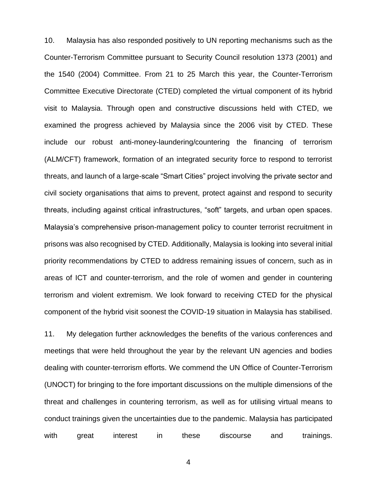10. Malaysia has also responded positively to UN reporting mechanisms such as the Counter-Terrorism Committee pursuant to Security Council resolution 1373 (2001) and the 1540 (2004) Committee. From 21 to 25 March this year, the Counter-Terrorism Committee Executive Directorate (CTED) completed the virtual component of its hybrid visit to Malaysia. Through open and constructive discussions held with CTED, we examined the progress achieved by Malaysia since the 2006 visit by CTED. These include our robust anti-money-laundering/countering the financing of terrorism (ALM/CFT) framework, formation of an integrated security force to respond to terrorist threats, and launch of a large-scale "Smart Cities" project involving the private sector and civil society organisations that aims to prevent, protect against and respond to security threats, including against critical infrastructures, "soft" targets, and urban open spaces. Malaysia's comprehensive prison-management policy to counter terrorist recruitment in prisons was also recognised by CTED. Additionally, Malaysia is looking into several initial priority recommendations by CTED to address remaining issues of concern, such as in areas of ICT and counter-terrorism, and the role of women and gender in countering terrorism and violent extremism. We look forward to receiving CTED for the physical component of the hybrid visit soonest the COVID-19 situation in Malaysia has stabilised.

11. My delegation further acknowledges the benefits of the various conferences and meetings that were held throughout the year by the relevant UN agencies and bodies dealing with counter-terrorism efforts. We commend the UN Office of Counter-Terrorism (UNOCT) for bringing to the fore important discussions on the multiple dimensions of the threat and challenges in countering terrorism, as well as for utilising virtual means to conduct trainings given the uncertainties due to the pandemic. Malaysia has participated with great interest in these discourse and trainings.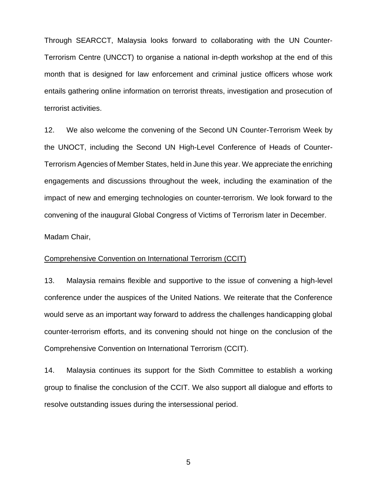Through SEARCCT, Malaysia looks forward to collaborating with the UN Counter-Terrorism Centre (UNCCT) to organise a national in-depth workshop at the end of this month that is designed for law enforcement and criminal justice officers whose work entails gathering online information on terrorist threats, investigation and prosecution of terrorist activities.

12. We also welcome the convening of the Second UN Counter-Terrorism Week by the UNOCT, including the Second UN High-Level Conference of Heads of Counter-Terrorism Agencies of Member States, held in June this year. We appreciate the enriching engagements and discussions throughout the week, including the examination of the impact of new and emerging technologies on counter-terrorism. We look forward to the convening of the inaugural Global Congress of Victims of Terrorism later in December.

Madam Chair,

## Comprehensive Convention on International Terrorism (CCIT)

13. Malaysia remains flexible and supportive to the issue of convening a high-level conference under the auspices of the United Nations. We reiterate that the Conference would serve as an important way forward to address the challenges handicapping global counter-terrorism efforts, and its convening should not hinge on the conclusion of the Comprehensive Convention on International Terrorism (CCIT).

14. Malaysia continues its support for the Sixth Committee to establish a working group to finalise the conclusion of the CCIT. We also support all dialogue and efforts to resolve outstanding issues during the intersessional period.